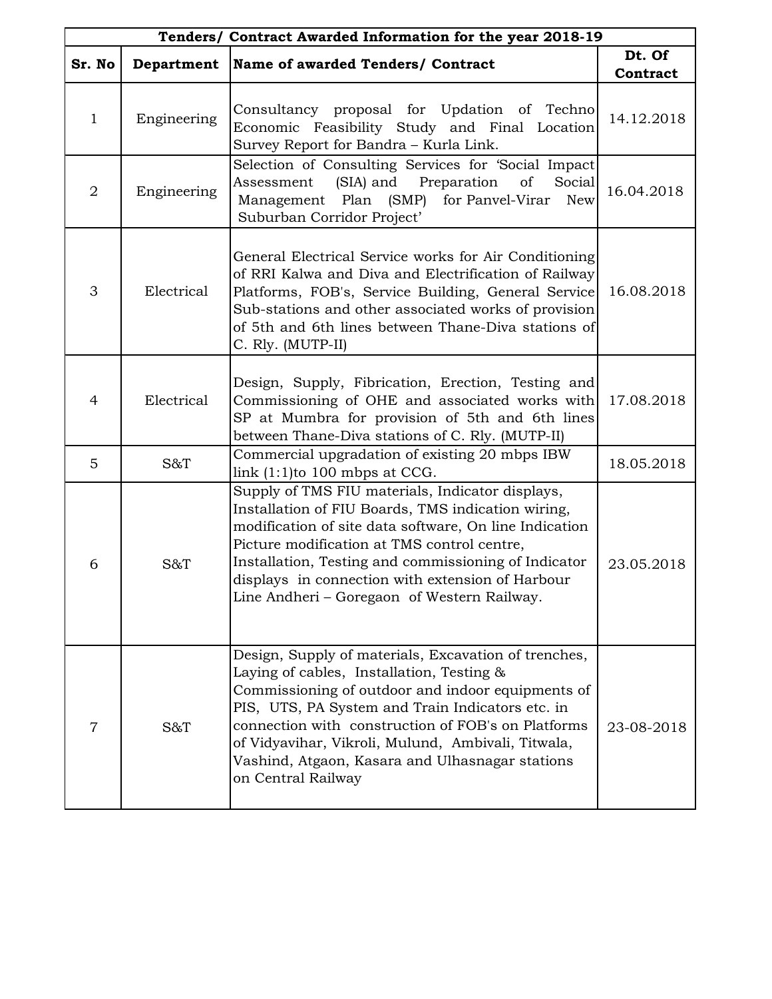| Tenders/ Contract Awarded Information for the year 2018-19 |             |                                                                                                                                                                                                                                                                                                                                                                                                 |                    |
|------------------------------------------------------------|-------------|-------------------------------------------------------------------------------------------------------------------------------------------------------------------------------------------------------------------------------------------------------------------------------------------------------------------------------------------------------------------------------------------------|--------------------|
| Sr. No                                                     | Department  | Name of awarded Tenders/ Contract                                                                                                                                                                                                                                                                                                                                                               | Dt. Of<br>Contract |
| $\mathbf{1}$                                               | Engineering | Consultancy proposal for Updation of Techno<br>Economic Feasibility Study and Final Location<br>Survey Report for Bandra - Kurla Link.                                                                                                                                                                                                                                                          | 14.12.2018         |
| $\overline{2}$                                             | Engineering | Selection of Consulting Services for 'Social Impact<br>(SIA) and Preparation of<br>Assessment<br>Social<br>Management Plan (SMP)<br>for Panvel-Virar<br><b>New</b><br>Suburban Corridor Project'                                                                                                                                                                                                | 16.04.2018         |
| 3                                                          | Electrical  | General Electrical Service works for Air Conditioning<br>of RRI Kalwa and Diva and Electrification of Railway<br>Platforms, FOB's, Service Building, General Service<br>Sub-stations and other associated works of provision<br>of 5th and 6th lines between Thane-Diva stations of<br>C. Rly. (MUTP-II)                                                                                        | 16.08.2018         |
| $\overline{4}$                                             | Electrical  | Design, Supply, Fibrication, Erection, Testing and<br>Commissioning of OHE and associated works with<br>SP at Mumbra for provision of 5th and 6th lines<br>between Thane-Diva stations of C. Rly. (MUTP-II)                                                                                                                                                                                     | 17.08.2018         |
| 5                                                          | S&T         | Commercial upgradation of existing 20 mbps IBW<br>link $(1:1)$ to 100 mbps at CCG.                                                                                                                                                                                                                                                                                                              | 18.05.2018         |
| 6                                                          | S&T         | Supply of TMS FIU materials, Indicator displays,<br>Installation of FIU Boards, TMS indication wiring,<br>modification of site data software, On line Indication<br>Picture modification at TMS control centre,<br>Installation, Testing and commissioning of Indicator<br>displays in connection with extension of Harbour<br>Line Andheri - Goregaon of Western Railway.                      | 23.05.2018         |
| $\overline{7}$                                             | S&T         | Design, Supply of materials, Excavation of trenches,<br>Laying of cables, Installation, Testing &<br>Commissioning of outdoor and indoor equipments of<br>PIS, UTS, PA System and Train Indicators etc. in<br>connection with construction of FOB's on Platforms<br>of Vidyavihar, Vikroli, Mulund, Ambivali, Titwala,<br>Vashind, Atgaon, Kasara and Ulhasnagar stations<br>on Central Railway | 23-08-2018         |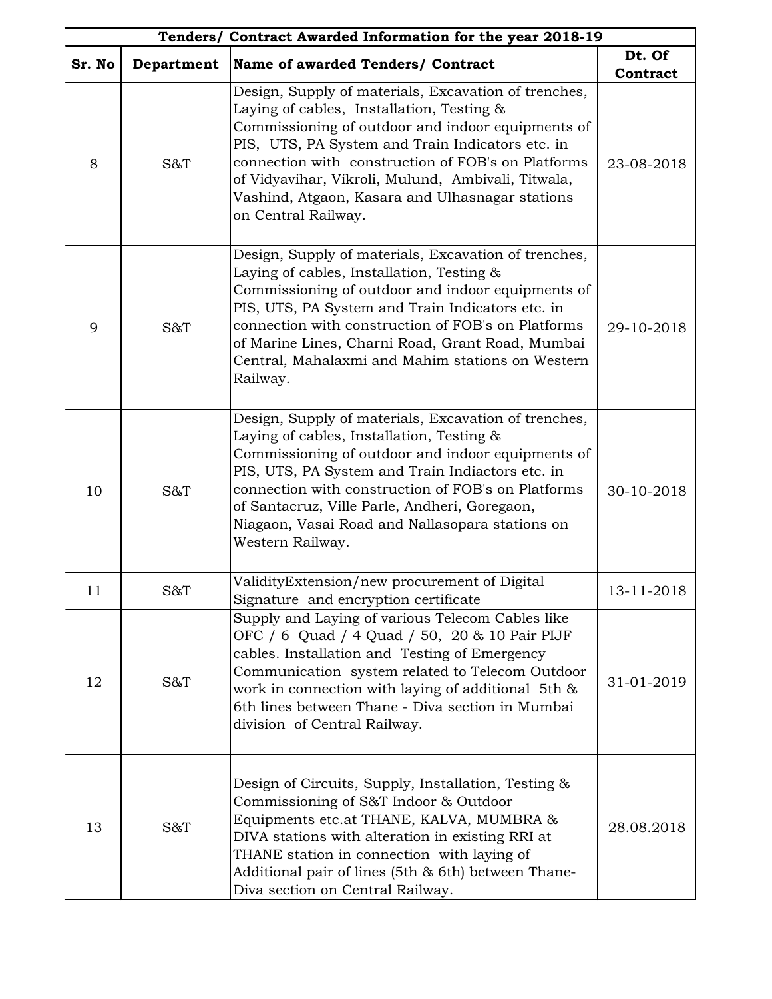| Tenders/ Contract Awarded Information for the year 2018-19 |            |                                                                                                                                                                                                                                                                                                                                                                                                  |                    |
|------------------------------------------------------------|------------|--------------------------------------------------------------------------------------------------------------------------------------------------------------------------------------------------------------------------------------------------------------------------------------------------------------------------------------------------------------------------------------------------|--------------------|
| Sr. No                                                     | Department | Name of awarded Tenders/ Contract                                                                                                                                                                                                                                                                                                                                                                | Dt. Of<br>Contract |
| 8                                                          | S&T        | Design, Supply of materials, Excavation of trenches,<br>Laying of cables, Installation, Testing &<br>Commissioning of outdoor and indoor equipments of<br>PIS, UTS, PA System and Train Indicators etc. in<br>connection with construction of FOB's on Platforms<br>of Vidyavihar, Vikroli, Mulund, Ambivali, Titwala,<br>Vashind, Atgaon, Kasara and Ulhasnagar stations<br>on Central Railway. | 23-08-2018         |
| 9                                                          | S&T        | Design, Supply of materials, Excavation of trenches,<br>Laying of cables, Installation, Testing &<br>Commissioning of outdoor and indoor equipments of<br>PIS, UTS, PA System and Train Indicators etc. in<br>connection with construction of FOB's on Platforms<br>of Marine Lines, Charni Road, Grant Road, Mumbai<br>Central, Mahalaxmi and Mahim stations on Western<br>Railway.             | 29-10-2018         |
| 10                                                         | S&T        | Design, Supply of materials, Excavation of trenches,<br>Laying of cables, Installation, Testing &<br>Commissioning of outdoor and indoor equipments of<br>PIS, UTS, PA System and Train Indiactors etc. in<br>connection with construction of FOB's on Platforms<br>of Santacruz, Ville Parle, Andheri, Goregaon,<br>Niagaon, Vasai Road and Nallasopara stations on<br>Western Railway.         | 30-10-2018         |
| 11                                                         | S&T        | ValidityExtension/new procurement of Digital<br>Signature and encryption certificate                                                                                                                                                                                                                                                                                                             | 13-11-2018         |
| 12                                                         | S&T        | Supply and Laying of various Telecom Cables like<br>OFC / 6 Quad / 4 Quad / 50, 20 & 10 Pair PIJF<br>cables. Installation and Testing of Emergency<br>Communication system related to Telecom Outdoor<br>work in connection with laying of additional 5th &<br>6th lines between Thane - Diva section in Mumbai<br>division of Central Railway.                                                  | 31-01-2019         |
| 13                                                         | S&T        | Design of Circuits, Supply, Installation, Testing &<br>Commissioning of S&T Indoor & Outdoor<br>Equipments etc.at THANE, KALVA, MUMBRA &<br>DIVA stations with alteration in existing RRI at<br>THANE station in connection with laying of<br>Additional pair of lines (5th & 6th) between Thane-<br>Diva section on Central Railway.                                                            | 28.08.2018         |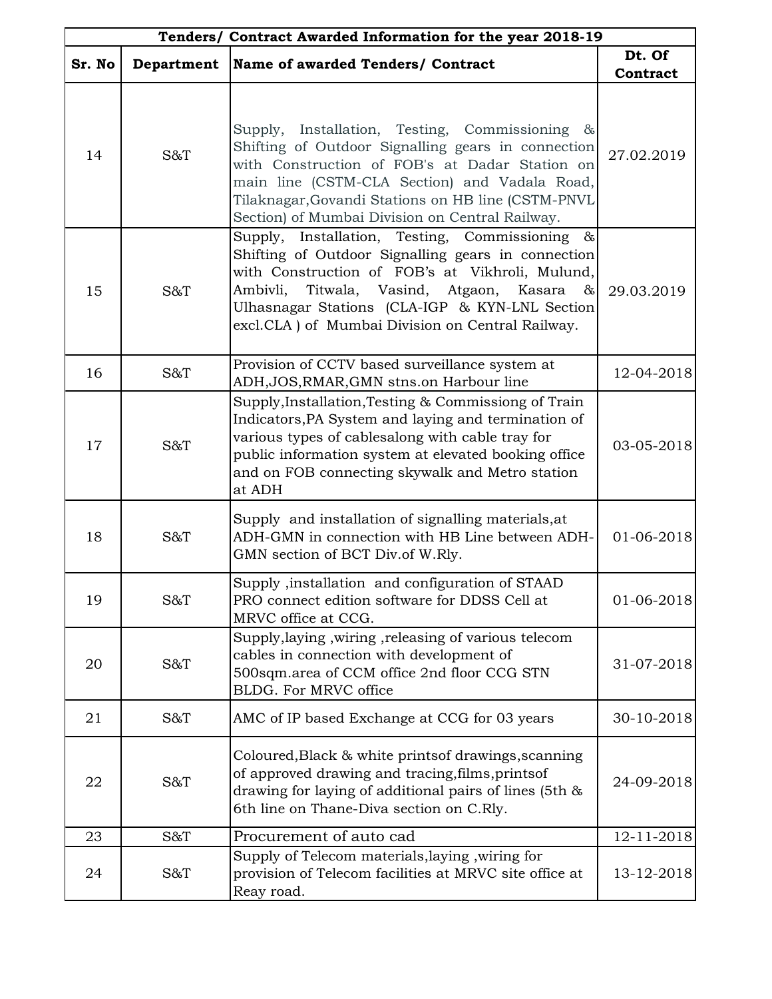| Tenders/ Contract Awarded Information for the year 2018-19 |            |                                                                                                                                                                                                                                                                                                                  |                    |
|------------------------------------------------------------|------------|------------------------------------------------------------------------------------------------------------------------------------------------------------------------------------------------------------------------------------------------------------------------------------------------------------------|--------------------|
| Sr. No                                                     | Department | Name of awarded Tenders/ Contract                                                                                                                                                                                                                                                                                | Dt. Of<br>Contract |
| 14                                                         | S&T        | Supply, Installation, Testing, Commissioning &<br>Shifting of Outdoor Signalling gears in connection<br>with Construction of FOB's at Dadar Station on<br>main line (CSTM-CLA Section) and Vadala Road,<br>Tilaknagar, Govandi Stations on HB line (CSTM-PNVL<br>Section) of Mumbai Division on Central Railway. | 27.02.2019         |
| 15                                                         | S&T        | Supply, Installation, Testing, Commissioning &<br>Shifting of Outdoor Signalling gears in connection<br>with Construction of FOB's at Vikhroli, Mulund,<br>Ambivli, Titwala, Vasind, Atgaon, Kasara &<br>Ulhasnagar Stations (CLA-IGP & KYN-LNL Section<br>excl.CLA) of Mumbai Division on Central Railway.      | 29.03.2019         |
| 16                                                         | S&T        | Provision of CCTV based surveillance system at<br>ADH, JOS, RMAR, GMN stns.on Harbour line                                                                                                                                                                                                                       | 12-04-2018         |
| 17                                                         | S&T        | Supply, Installation, Testing & Commissiong of Train<br>Indicators, PA System and laying and termination of<br>various types of cablesalong with cable tray for<br>public information system at elevated booking office<br>and on FOB connecting skywalk and Metro station<br>at ADH                             | 03-05-2018         |
| 18                                                         | S&T        | Supply and installation of signalling materials, at<br>ADH-GMN in connection with HB Line between ADH-<br>GMN section of BCT Div.of W.Rly.                                                                                                                                                                       | 01-06-2018         |
| 19                                                         | S&T        | Supply ,installation and configuration of STAAD<br>PRO connect edition software for DDSS Cell at<br>MRVC office at CCG.                                                                                                                                                                                          | 01-06-2018         |
| 20                                                         | S&T        | Supply, laying, wiring, releasing of various telecom<br>cables in connection with development of<br>500sqm.area of CCM office 2nd floor CCG STN<br>BLDG. For MRVC office                                                                                                                                         | 31-07-2018         |
| 21                                                         | S&T        | AMC of IP based Exchange at CCG for 03 years                                                                                                                                                                                                                                                                     | 30-10-2018         |
| 22                                                         | S&T        | Coloured, Black & white prints of drawings, scanning<br>of approved drawing and tracing, films, prints of<br>drawing for laying of additional pairs of lines (5th &<br>6th line on Thane-Diva section on C.Rly.                                                                                                  | 24-09-2018         |
| 23                                                         | S&T        | Procurement of auto cad                                                                                                                                                                                                                                                                                          | 12-11-2018         |
| 24                                                         | S&T        | Supply of Telecom materials, laying, wiring for<br>provision of Telecom facilities at MRVC site office at<br>Reay road.                                                                                                                                                                                          | 13-12-2018         |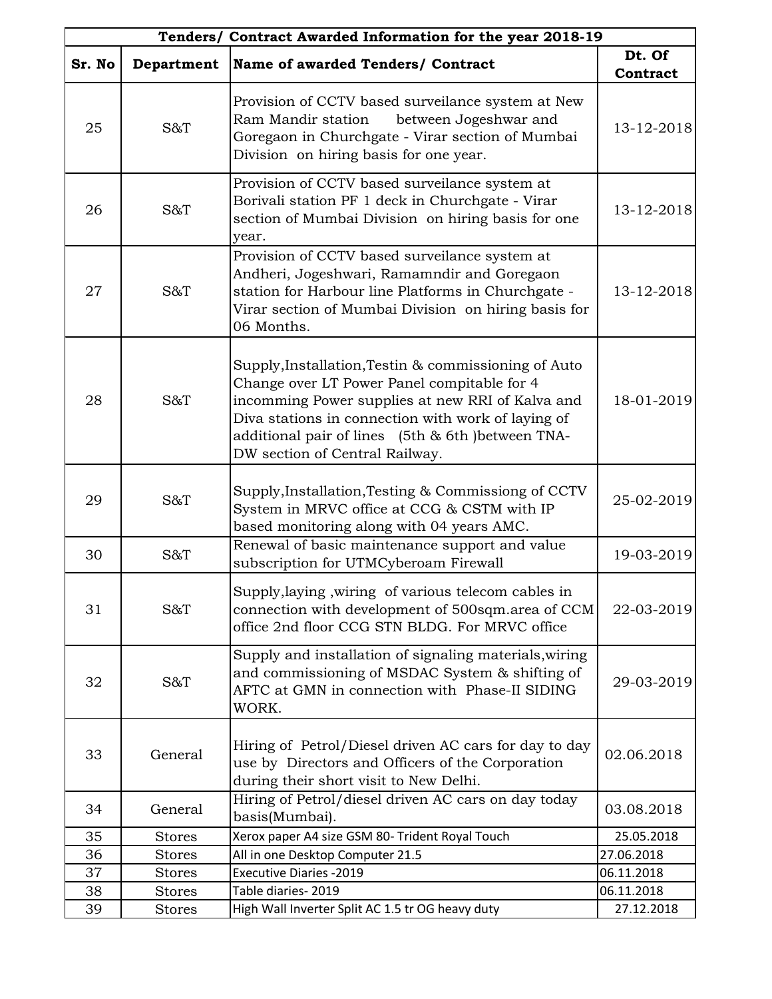| Tenders/ Contract Awarded Information for the year 2018-19 |               |                                                                                                                                                                                                                                                                                                       |                    |
|------------------------------------------------------------|---------------|-------------------------------------------------------------------------------------------------------------------------------------------------------------------------------------------------------------------------------------------------------------------------------------------------------|--------------------|
| Sr. No                                                     | Department    | Name of awarded Tenders/ Contract                                                                                                                                                                                                                                                                     | Dt. Of<br>Contract |
| 25                                                         | S&T           | Provision of CCTV based surveilance system at New<br>Ram Mandir station<br>between Jogeshwar and<br>Goregaon in Churchgate - Virar section of Mumbai<br>Division on hiring basis for one year.                                                                                                        | 13-12-2018         |
| 26                                                         | S&T           | Provision of CCTV based surveilance system at<br>Borivali station PF 1 deck in Churchgate - Virar<br>section of Mumbai Division on hiring basis for one<br>year.                                                                                                                                      | 13-12-2018         |
| 27                                                         | S&T           | Provision of CCTV based surveilance system at<br>Andheri, Jogeshwari, Ramamndir and Goregaon<br>station for Harbour line Platforms in Churchgate -<br>Virar section of Mumbai Division on hiring basis for<br>06 Months.                                                                              | 13-12-2018         |
| 28                                                         | S&T           | Supply, Installation, Testin & commissioning of Auto<br>Change over LT Power Panel compitable for 4<br>incomming Power supplies at new RRI of Kalva and<br>Diva stations in connection with work of laying of<br>additional pair of lines (5th & 6th ) between TNA-<br>DW section of Central Railway. | 18-01-2019         |
| 29                                                         | S&T           | Supply, Installation, Testing & Commissiong of CCTV<br>System in MRVC office at CCG & CSTM with IP<br>based monitoring along with 04 years AMC.                                                                                                                                                       | 25-02-2019         |
| 30                                                         | S&T           | Renewal of basic maintenance support and value<br>subscription for UTMCyberoam Firewall                                                                                                                                                                                                               | 19-03-2019         |
| 31                                                         | S&T           | Supply, laying, wiring of various telecom cables in<br>connection with development of 500sqm.area of CCM<br>office 2nd floor CCG STN BLDG. For MRVC office                                                                                                                                            | 22-03-2019         |
| 32                                                         | S&T           | Supply and installation of signaling materials, wiring<br>and commissioning of MSDAC System & shifting of<br>AFTC at GMN in connection with Phase-II SIDING<br>WORK.                                                                                                                                  | 29-03-2019         |
| 33                                                         | General       | Hiring of Petrol/Diesel driven AC cars for day to day<br>use by Directors and Officers of the Corporation<br>during their short visit to New Delhi.                                                                                                                                                   | 02.06.2018         |
| 34                                                         | General       | Hiring of Petrol/diesel driven AC cars on day today<br>basis(Mumbai).                                                                                                                                                                                                                                 | 03.08.2018         |
| 35                                                         | <b>Stores</b> | Xerox paper A4 size GSM 80- Trident Royal Touch                                                                                                                                                                                                                                                       | 25.05.2018         |
| 36                                                         | <b>Stores</b> | All in one Desktop Computer 21.5                                                                                                                                                                                                                                                                      | 27.06.2018         |
| 37                                                         | <b>Stores</b> | <b>Executive Diaries -2019</b>                                                                                                                                                                                                                                                                        | 06.11.2018         |
| 38                                                         | <b>Stores</b> | Table diaries-2019                                                                                                                                                                                                                                                                                    | 06.11.2018         |
| 39                                                         | <b>Stores</b> | High Wall Inverter Split AC 1.5 tr OG heavy duty                                                                                                                                                                                                                                                      | 27.12.2018         |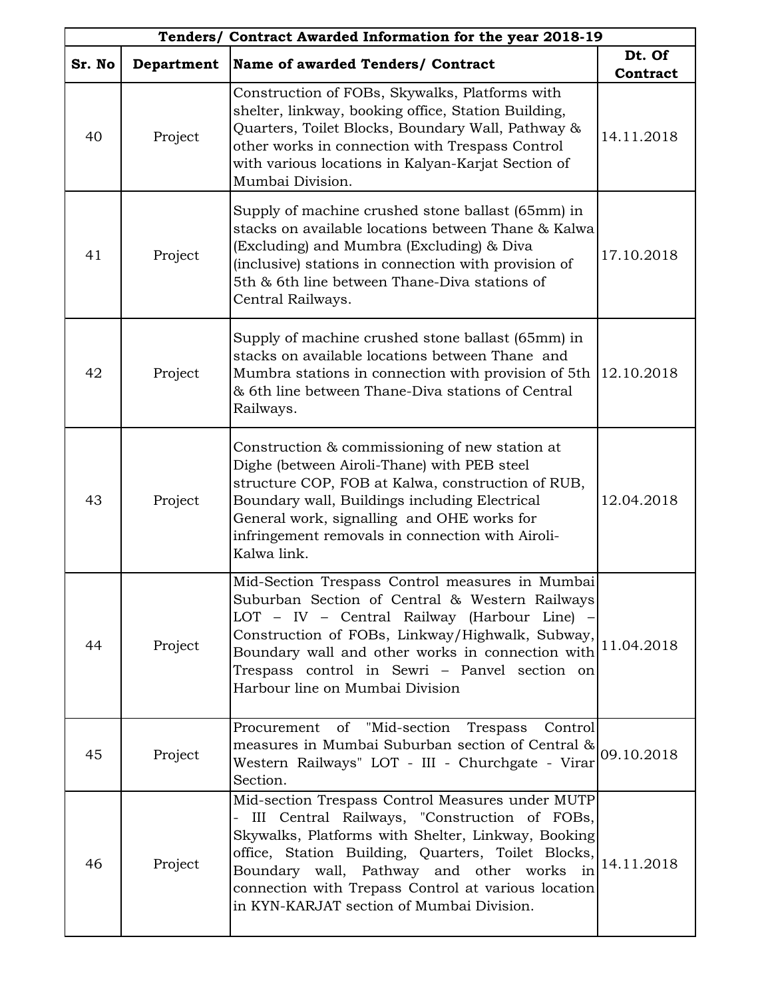| Tenders/ Contract Awarded Information for the year 2018-19 |            |                                                                                                                                                                                                                                                                                                                                                                  |                    |
|------------------------------------------------------------|------------|------------------------------------------------------------------------------------------------------------------------------------------------------------------------------------------------------------------------------------------------------------------------------------------------------------------------------------------------------------------|--------------------|
| Sr. No                                                     | Department | Name of awarded Tenders/ Contract                                                                                                                                                                                                                                                                                                                                | Dt. Of<br>Contract |
| 40                                                         | Project    | Construction of FOBs, Skywalks, Platforms with<br>shelter, linkway, booking office, Station Building,<br>Quarters, Toilet Blocks, Boundary Wall, Pathway &<br>other works in connection with Trespass Control<br>with various locations in Kalyan-Karjat Section of<br>Mumbai Division.                                                                          | 14.11.2018         |
| 41                                                         | Project    | Supply of machine crushed stone ballast (65mm) in<br>stacks on available locations between Thane & Kalwa<br>(Excluding) and Mumbra (Excluding) & Diva<br>(inclusive) stations in connection with provision of<br>5th & 6th line between Thane-Diva stations of<br>Central Railways.                                                                              | 17.10.2018         |
| 42                                                         | Project    | Supply of machine crushed stone ballast (65mm) in<br>stacks on available locations between Thane and<br>Mumbra stations in connection with provision of 5th<br>& 6th line between Thane-Diva stations of Central<br>Railways.                                                                                                                                    | 12.10.2018         |
| 43                                                         | Project    | Construction & commissioning of new station at<br>Dighe (between Airoli-Thane) with PEB steel<br>structure COP, FOB at Kalwa, construction of RUB,<br>Boundary wall, Buildings including Electrical<br>General work, signalling and OHE works for<br>infringement removals in connection with Airoli-<br>Kalwa link.                                             | 12.04.2018         |
| 44                                                         | Project    | Mid-Section Trespass Control measures in Mumbai<br>Suburban Section of Central & Western Railways<br>LOT - IV - Central Railway (Harbour Line) -<br>Construction of FOBs, Linkway/Highwalk, Subway,<br>Boundary wall and other works in connection with $ 11.04.2018\rangle$<br>Trespass control in Sewri - Panvel section on<br>Harbour line on Mumbai Division |                    |
| 45                                                         | Project    | Procurement of "Mid-section Trespass Control<br>measures in Mumbai Suburban section of Central &<br>Western Railways" LOT - III - Churchgate - Virar<br>Section.                                                                                                                                                                                                 | 09.10.2018         |
| 46                                                         | Project    | Mid-section Trespass Control Measures under MUTP<br>III Central Railways, "Construction of FOBs,<br>Skywalks, Platforms with Shelter, Linkway, Booking<br>office, Station Building, Quarters, Toilet Blocks,<br>Boundary wall, Pathway and other works in<br>connection with Trepass Control at various location<br>in KYN-KARJAT section of Mumbai Division.    | 14.11.2018         |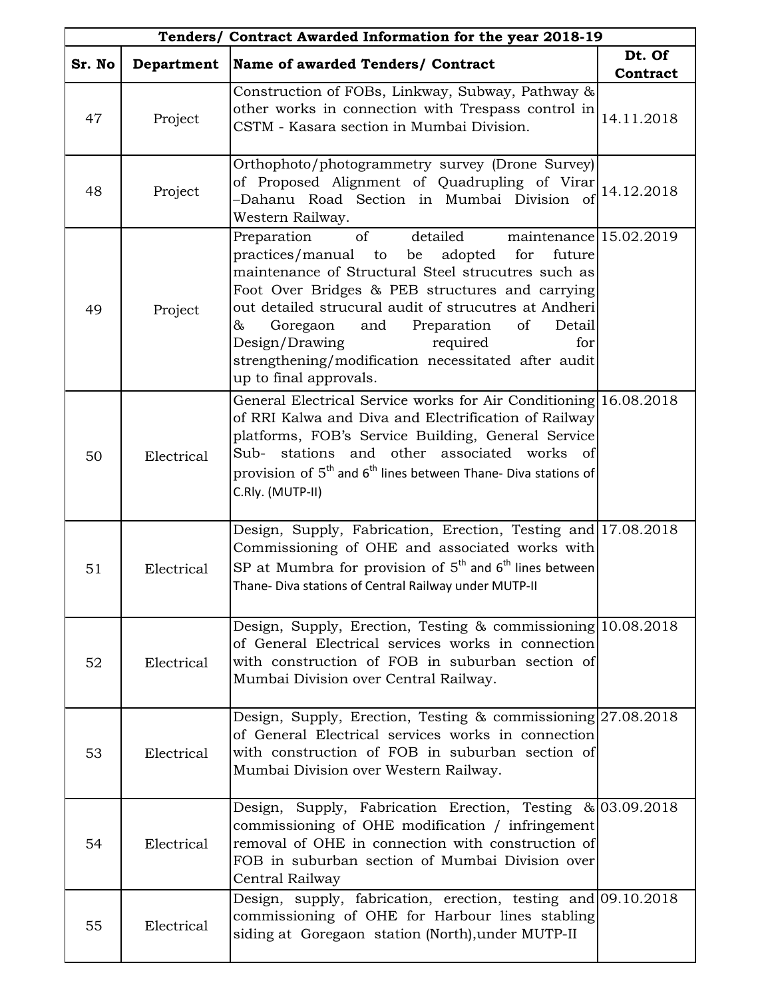| Tenders/ Contract Awarded Information for the year 2018-19 |            |                                                                                                                                                                                                                                                                                                                                                                                                                                                          |                    |
|------------------------------------------------------------|------------|----------------------------------------------------------------------------------------------------------------------------------------------------------------------------------------------------------------------------------------------------------------------------------------------------------------------------------------------------------------------------------------------------------------------------------------------------------|--------------------|
| Sr. No                                                     | Department | Name of awarded Tenders/ Contract                                                                                                                                                                                                                                                                                                                                                                                                                        | Dt. Of<br>Contract |
| 47                                                         | Project    | Construction of FOBs, Linkway, Subway, Pathway &<br>other works in connection with Trespass control in<br>CSTM - Kasara section in Mumbai Division.                                                                                                                                                                                                                                                                                                      | 14.11.2018         |
| 48                                                         | Project    | Orthophoto/photogrammetry survey (Drone Survey)<br>of Proposed Alignment of Quadrupling of Virar 14.12.2018<br>-Dahanu Road Section in Mumbai Division of<br>Western Railway.                                                                                                                                                                                                                                                                            |                    |
| 49                                                         | Project    | maintenance $15.02.2019$<br>of<br>detailed<br>Preparation<br>practices/manual to be adopted<br>for<br>future<br>maintenance of Structural Steel strucutres such as<br>Foot Over Bridges & PEB structures and carrying<br>out detailed strucural audit of strucutres at Andheri<br>Goregaon<br>and Preparation<br>of<br>&<br>Detail<br>Design/Drawing<br>required<br>for<br>strengthening/modification necessitated after audit<br>up to final approvals. |                    |
| 50                                                         | Electrical | General Electrical Service works for Air Conditioning 16.08.2018<br>of RRI Kalwa and Diva and Electrification of Railway<br>platforms, FOB's Service Building, General Service<br>Sub- stations and other associated works of<br>provision of $5^{th}$ and $6^{th}$ lines between Thane- Diva stations of<br>C.Rly. (MUTP-II)                                                                                                                            |                    |
| 51                                                         | Electrical | Design, Supply, Fabrication, Erection, Testing and 17.08.2018<br>Commissioning of OHE and associated works with<br>SP at Mumbra for provision of $5^{th}$ and $6^{th}$ lines between<br>Thane- Diva stations of Central Railway under MUTP-II                                                                                                                                                                                                            |                    |
| 52                                                         | Electrical | Design, Supply, Erection, Testing & commissioning 10.08.2018<br>of General Electrical services works in connection<br>with construction of FOB in suburban section of<br>Mumbai Division over Central Railway.                                                                                                                                                                                                                                           |                    |
| 53                                                         | Electrical | Design, Supply, Erection, Testing $\&$ commissioning 27.08.2018<br>of General Electrical services works in connection<br>with construction of FOB in suburban section of<br>Mumbai Division over Western Railway.                                                                                                                                                                                                                                        |                    |
| 54                                                         | Electrical | Design, Supply, Fabrication Erection, Testing & 03.09.2018<br>commissioning of OHE modification / infringement<br>removal of OHE in connection with construction of<br>FOB in suburban section of Mumbai Division over<br>Central Railway                                                                                                                                                                                                                |                    |
| 55                                                         | Electrical | Design, supply, fabrication, erection, testing and 09.10.2018<br>commissioning of OHE for Harbour lines stabling<br>siding at Goregaon station (North), under MUTP-II                                                                                                                                                                                                                                                                                    |                    |